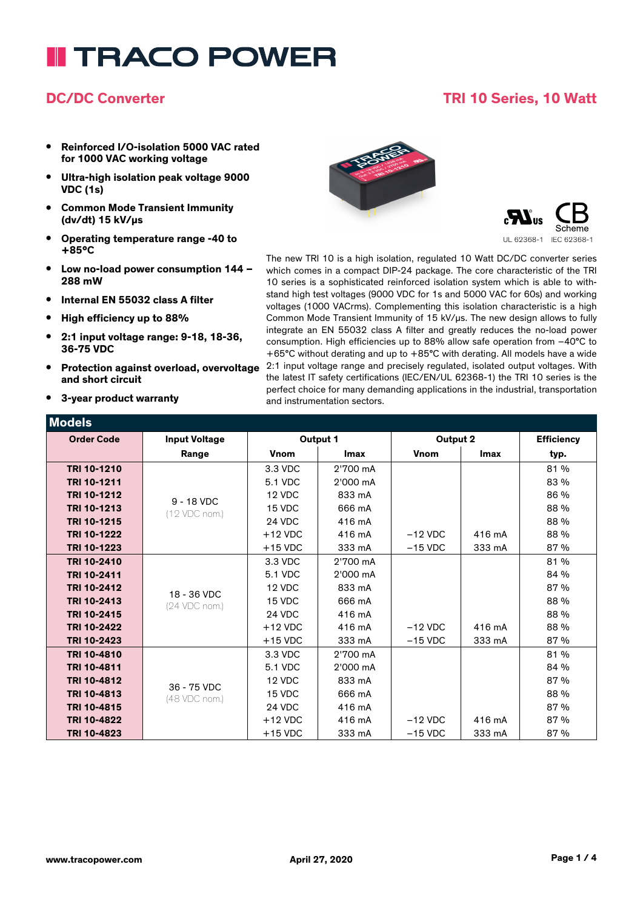# **I TRACO POWER**

### **DC/DC Converter TRI 10 Series, 10 Watt**

- **• Reinforced I/O-isolation 5000 VAC rated for 1000 VAC working voltage**
- **• Ultra-high isolation peak voltage 9000 VDC (1s)**
- **• Common Mode Transient Immunity (dv/dt) 15 kV/µs**
- **• Operating temperature range -40 to +85°C**
- **• Low no-load power consumption 144 – 288 mW**
- **• Internal EN 55032 class A filter**
- **• High efficiency up to 88%**
- **• 2:1 input voltage range: 9-18, 18-36, 36-75 VDC**
- **• Protection against overload, overvoltage and short circuit**
- **• 3-year product warranty**





The new TRI 10 is a high isolation, regulated 10 Watt DC/DC converter series which comes in a compact DIP-24 package. The core characteristic of the TRI 10 series is a sophisticated reinforced isolation system which is able to withstand high test voltages (9000 VDC for 1s and 5000 VAC for 60s) and working voltages (1000 VACrms). Complementing this isolation characteristic is a high Common Mode Transient Immunity of 15 kV/µs. The new design allows to fully integrate an EN 55032 class A filter and greatly reduces the no-load power consumption. High efficiencies up to 88% allow safe operation from –40°C to +65°C without derating and up to +85°C with derating. All models have a wide 2:1 input voltage range and precisely regulated, isolated output voltages. With the latest IT safety certifications (IEC/EN/UL 62368-1) the TRI 10 series is the perfect choice for many demanding applications in the industrial, transportation and instrumentation sectors.

| Models            |                           |           |          |           |             |                   |
|-------------------|---------------------------|-----------|----------|-----------|-------------|-------------------|
| <b>Order Code</b> | <b>Input Voltage</b>      | Output 1  |          | Output 2  |             | <b>Efficiency</b> |
|                   | Range                     | Vnom      | Imax     | Vnom      | <b>Imax</b> | typ.              |
| TRI 10-1210       |                           | 3.3 VDC   | 2'700 mA |           |             | 81%               |
| TRI 10-1211       |                           | 5.1 VDC   | 2'000 mA |           |             | 83 %              |
| TRI 10-1212       | 9 - 18 VDC                | 12 VDC    | 833 mA   |           |             | 86 %              |
| TRI 10-1213       | $(12 \, \text{VDC nom.})$ | 15 VDC    | 666 mA   |           |             | 88 %              |
| TRI 10-1215       |                           | 24 VDC    | 416 mA   |           |             | 88 %              |
| TRI 10-1222       |                           | $+12$ VDC | 416 mA   | $-12$ VDC | 416 mA      | 88 %              |
| TRI 10-1223       |                           | $+15$ VDC | 333 mA   | $-15$ VDC | 333 mA      | 87%               |
| TRI 10-2410       |                           | 3.3 VDC   | 2'700 mA |           |             | 81%               |
| TRI 10-2411       |                           | 5.1 VDC   | 2'000 mA |           |             | 84 %              |
| TRI 10-2412       | 18 - 36 VDC               | 12 VDC    | 833 mA   |           |             | 87%               |
| TRI 10-2413       | (24 VDC nom.)             | 15 VDC    | 666 mA   |           |             | 88 %              |
| TRI 10-2415       |                           | 24 VDC    | 416 mA   |           |             | 88 %              |
| TRI 10-2422       |                           | $+12$ VDC | 416 mA   | $-12$ VDC | 416 mA      | 88 %              |
| TRI 10-2423       |                           | $+15$ VDC | 333 mA   | $-15$ VDC | 333 mA      | 87%               |
| TRI 10-4810       |                           | 3.3 VDC   | 2'700 mA |           |             | 81%               |
| TRI 10-4811       |                           | 5.1 VDC   | 2'000 mA |           |             | 84 %              |
| TRI 10-4812       | 36 - 75 VDC               | 12 VDC    | 833 mA   |           |             | 87%               |
| TRI 10-4813       | (48 VDC nom.)             | 15 VDC    | 666 mA   |           |             | 88 %              |
| TRI 10-4815       |                           | 24 VDC    | 416 mA   |           |             | 87%               |
| TRI 10-4822       |                           | $+12$ VDC | 416 mA   | $-12$ VDC | 416 mA      | 87%               |
| TRI 10-4823       |                           | $+15$ VDC | 333 mA   | $-15$ VDC | 333 mA      | 87%               |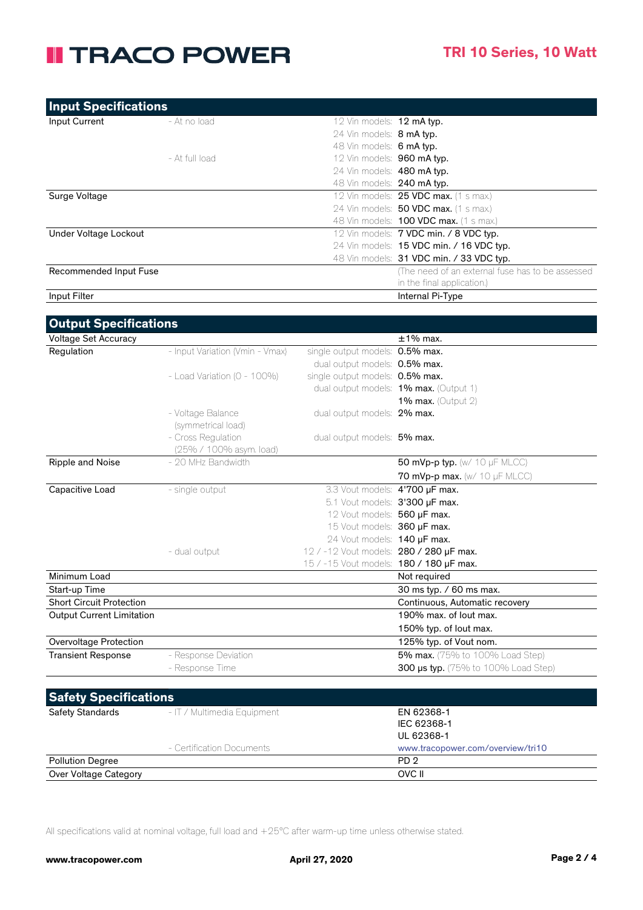## **II TRACO POWER**

| <b>Input Specifications</b> |                |                                   |                                                   |
|-----------------------------|----------------|-----------------------------------|---------------------------------------------------|
| Input Current               | - At no load   | 12 Vin models: 12 mA typ.         |                                                   |
|                             |                | 24 Vin models: 8 mA typ.          |                                                   |
|                             |                | 48 Vin models: 6 mA typ.          |                                                   |
|                             | - At full load | 12 Vin models: 960 mA typ.        |                                                   |
|                             |                | 24 Vin models: 480 mA typ.        |                                                   |
|                             |                | 48 Vin models: <b>240 mA typ.</b> |                                                   |
| Surge Voltage               |                |                                   | 12 Vin models: 25 VDC max. (1 s max.)             |
|                             |                |                                   | 24 Vin models: 50 VDC max. (1 s max.)             |
|                             |                |                                   | 48 Vin models: <b>100 VDC max.</b> (1 s max.)     |
| Under Voltage Lockout       |                |                                   | 12 Vin models: 7 VDC min. / 8 VDC typ.            |
|                             |                |                                   | 24 Vin models: 15 VDC min. / 16 VDC typ.          |
|                             |                |                                   | 48 Vin models: 31 VDC min. / 33 VDC typ.          |
| Recommended Input Fuse      |                |                                   | (The need of an external fuse has to be assessed) |
|                             |                |                                   | in the final application.)                        |
| Input Filter                |                |                                   | Internal Pi-Type                                  |
|                             |                |                                   |                                                   |

| <b>Output Specifications</b>     |                                  |                                         |                                        |
|----------------------------------|----------------------------------|-----------------------------------------|----------------------------------------|
| Voltage Set Accuracy             |                                  |                                         | $±1\%$ max.                            |
| Regulation                       | - Input Variation (Vmin - Vmax)  | single output models: 0.5% max.         |                                        |
|                                  |                                  | dual output models: 0.5% max.           |                                        |
|                                  | - Load Variation ( $0 - 100\%$ ) | single output models: 0.5% max.         |                                        |
|                                  |                                  |                                         | dual output models: 1% max. (Output 1) |
|                                  |                                  |                                         | <b>1% max.</b> (Output 2)              |
|                                  | - Voltage Balance                | dual output models: 2% max.             |                                        |
|                                  | (symmetrical load)               |                                         |                                        |
|                                  | - Cross Regulation               | dual output models: 5% max.             |                                        |
|                                  | (25% / 100% asym. load)          |                                         |                                        |
| Ripple and Noise                 | - 20 MHz Bandwidth               |                                         | 50 mVp-p typ. $(w/10 \mu F$ MLCC)      |
|                                  |                                  |                                         | 70 mVp-p max. (w/ 10 µF MLCC)          |
| Capacitive Load                  | - single output                  | 3.3 Vout models: 4'700 µF max.          |                                        |
|                                  |                                  | 5.1 Vout models: 3'300 µF max.          |                                        |
|                                  |                                  | 12 Vout models: 560 uF max.             |                                        |
|                                  |                                  | 15 Vout models: 360 µF max.             |                                        |
|                                  |                                  | 24 Vout models: 140 µF max.             |                                        |
|                                  | - dual output                    | 12 / -12 Vout models: 280 / 280 µF max. |                                        |
|                                  |                                  | 15 / -15 Vout models: 180 / 180 µF max. |                                        |
| Minimum Load                     |                                  |                                         | Not required                           |
| Start-up Time                    |                                  |                                         | 30 ms typ. / 60 ms max.                |
| <b>Short Circuit Protection</b>  |                                  |                                         | Continuous, Automatic recovery         |
| <b>Output Current Limitation</b> |                                  |                                         | 190% max. of lout max.                 |
|                                  |                                  |                                         | 150% typ. of lout max.                 |
| Overvoltage Protection           |                                  |                                         | 125% typ. of Vout nom.                 |
| <b>Transient Response</b>        | - Response Deviation             |                                         | 5% max. (75% to 100% Load Step)        |
|                                  | - Response Time                  |                                         | 300 µs typ. (75% to 100% Load Step)    |
|                                  |                                  |                                         |                                        |
| <b>Safety Specifications</b>     |                                  |                                         |                                        |
| <b>Safety Standards</b>          | - IT / Multimedia Equipment      |                                         | EN 62368-1                             |
|                                  |                                  |                                         | IEC 62368-1                            |

|                           | UL 62368-1                        |
|---------------------------|-----------------------------------|
| - Certification Documents | www.tracopower.com/overview/tri10 |
| <b>Pollution Degree</b>   | PD <sub>2</sub>                   |
| Over Voltage Category     | OVC II                            |

All specifications valid at nominal voltage, full load and +25°C after warm-up time unless otherwise stated.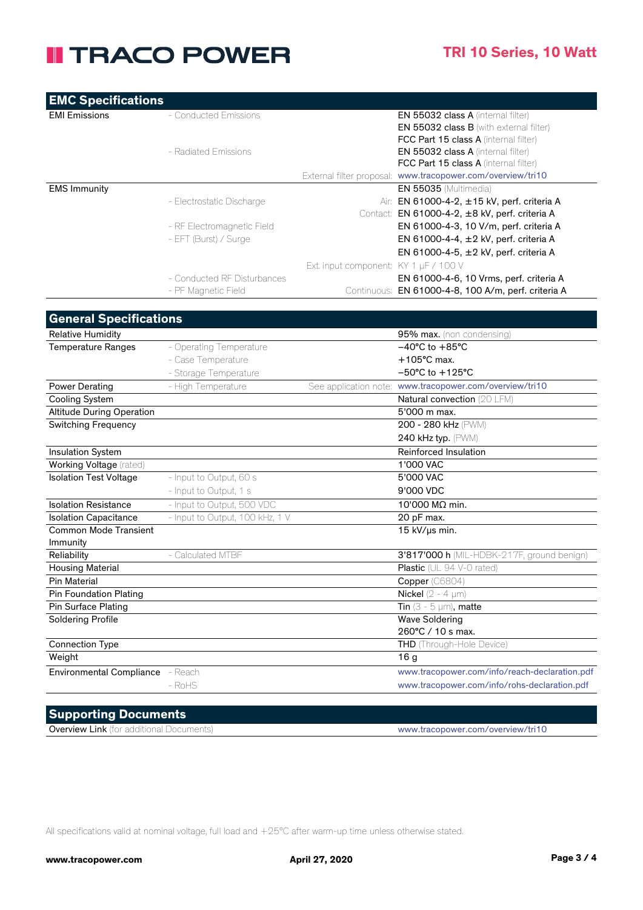## **II TRACO POWER**

| <b>EMC Specifications</b>     |                             |                                                             |  |
|-------------------------------|-----------------------------|-------------------------------------------------------------|--|
| <b>EMI Emissions</b>          | - Conducted Emissions       | <b>EN 55032 class A (internal filter)</b>                   |  |
|                               |                             | <b>EN 55032 class B</b> (with external filter)              |  |
|                               |                             | <b>FCC Part 15 class A</b> (internal filter)                |  |
|                               | - Radiated Emissions        | <b>EN 55032 class A (internal filter)</b>                   |  |
|                               |                             | <b>FCC Part 15 class A</b> (internal filter)                |  |
|                               |                             | External filter proposal: www.tracopower.com/overview/tri10 |  |
| <b>EMS Immunity</b>           |                             | <b>EN 55035</b> (Multimedia)                                |  |
|                               | - Electrostatic Discharge   | Air: EN 61000-4-2, $\pm$ 15 kV, perf. criteria A            |  |
|                               |                             | EN 61000-4-2, $\pm$ 8 kV, perf. criteria A<br>Contact:      |  |
|                               | - RF Electromagnetic Field  | EN 61000-4-3, 10 V/m, perf. criteria A                      |  |
|                               | - EFT (Burst) / Surge       | EN 61000-4-4, $\pm$ 2 kV, perf. criteria A                  |  |
|                               |                             | EN 61000-4-5, $\pm$ 2 kV, perf. criteria A                  |  |
|                               |                             | Ext. input component: $KY 1 µF / 100 V$                     |  |
|                               | - Conducted RF Disturbances | EN 61000-4-6, 10 Vrms, perf. criteria A                     |  |
|                               | - PF Magnetic Field         | EN 61000-4-8, 100 A/m, perf. criteria A<br>Continuous:      |  |
|                               |                             |                                                             |  |
| <b>General Specifications</b> |                             |                                                             |  |

| <b>Relative Humidity</b>         |                                 | 95% max. (non condensing)                               |
|----------------------------------|---------------------------------|---------------------------------------------------------|
| <b>Temperature Ranges</b>        | - Operating Temperature         | $-40^{\circ}$ C to $+85^{\circ}$ C                      |
|                                  | - Case Temperature              | $+105^{\circ}$ C max.                                   |
|                                  | - Storage Temperature           | $-50^{\circ}$ C to $+125^{\circ}$ C                     |
| <b>Power Derating</b>            | - High Temperature              | See application note: www.tracopower.com/overview/tri10 |
| Cooling System                   |                                 | Natural convection (20 LFM)                             |
| <b>Altitude During Operation</b> |                                 | 5'000 m max.                                            |
| <b>Switching Frequency</b>       |                                 | 200 - 280 kHz (PWM)                                     |
|                                  |                                 | 240 kHz typ. (PWM)                                      |
| <b>Insulation System</b>         |                                 | Reinforced Insulation                                   |
| Working Voltage (rated)          |                                 | 1'000 VAC                                               |
| <b>Isolation Test Voltage</b>    | - Input to Output, 60 s         | 5'000 VAC                                               |
|                                  | - Input to Output, 1 s          | 9'000 VDC                                               |
| <b>Isolation Resistance</b>      | - Input to Output, 500 VDC      | 10'000 MΩ min.                                          |
| <b>Isolation Capacitance</b>     | - Input to Output, 100 kHz, 1 V | 20 pF max.                                              |
| <b>Common Mode Transient</b>     |                                 | 15 kV/us min.                                           |
| Immunity                         |                                 |                                                         |
| Reliability                      | - Calculated MTBF               | 3'817'000 h (MIL-HDBK-217F, ground benign)              |
| <b>Housing Material</b>          |                                 | <b>Plastic</b> (UL 94 V-0 rated)                        |
| <b>Pin Material</b>              |                                 | Copper (C6804)                                          |
| <b>Pin Foundation Plating</b>    |                                 | Nickel $(2 - 4 \mu m)$                                  |
| Pin Surface Plating              |                                 | Tin $(3 - 5 \mu m)$ , matte                             |
| <b>Soldering Profile</b>         |                                 | <b>Wave Soldering</b>                                   |
|                                  |                                 | 260°C / 10 s max.                                       |
| <b>Connection Type</b>           |                                 | THD (Through-Hole Device)                               |
| Weight                           |                                 | 16 <sub>q</sub>                                         |
| <b>Environmental Compliance</b>  | - Reach                         | www.tracopower.com/info/reach-declaration.pdf           |
|                                  | - RoHS                          | www.tracopower.com/info/rohs-declaration.pdf            |

#### **Supporting Documents**

Overview Link (for additional Documents) www.tracopower.com/overview/tri10

All specifications valid at nominal voltage, full load and +25°C after warm-up time unless otherwise stated.